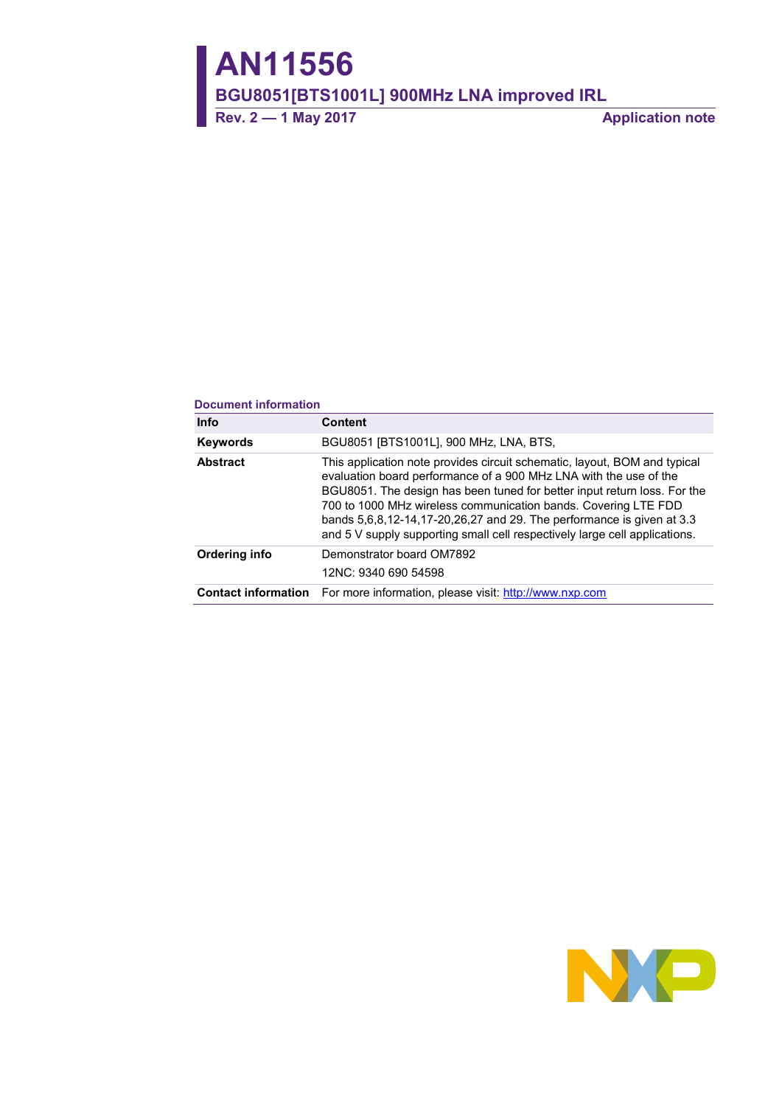**AN11556**

**BGU8051[BTS1001L] 900MHz LNA improved IRL**

**Rev. 2 — 1 May 2017 Application note**

#### **Document information**

| <b>Info</b>     | <b>Content</b>                                                                                                                                                                                                                                                                                                                                                                                                                                      |
|-----------------|-----------------------------------------------------------------------------------------------------------------------------------------------------------------------------------------------------------------------------------------------------------------------------------------------------------------------------------------------------------------------------------------------------------------------------------------------------|
| <b>Keywords</b> | BGU8051 [BTS1001L], 900 MHz, LNA, BTS,                                                                                                                                                                                                                                                                                                                                                                                                              |
| <b>Abstract</b> | This application note provides circuit schematic, layout, BOM and typical<br>evaluation board performance of a 900 MHz LNA with the use of the<br>BGU8051. The design has been tuned for better input return loss. For the<br>700 to 1000 MHz wireless communication bands. Covering LTE FDD<br>bands 5,6,8,12-14,17-20,26,27 and 29. The performance is given at 3.3<br>and 5 V supply supporting small cell respectively large cell applications. |
| Ordering info   | Demonstrator board OM7892<br>12NC: 9340 690 54598                                                                                                                                                                                                                                                                                                                                                                                                   |
|                 | <b>Contact information</b> For more information, please visit: http://www.nxp.com                                                                                                                                                                                                                                                                                                                                                                   |

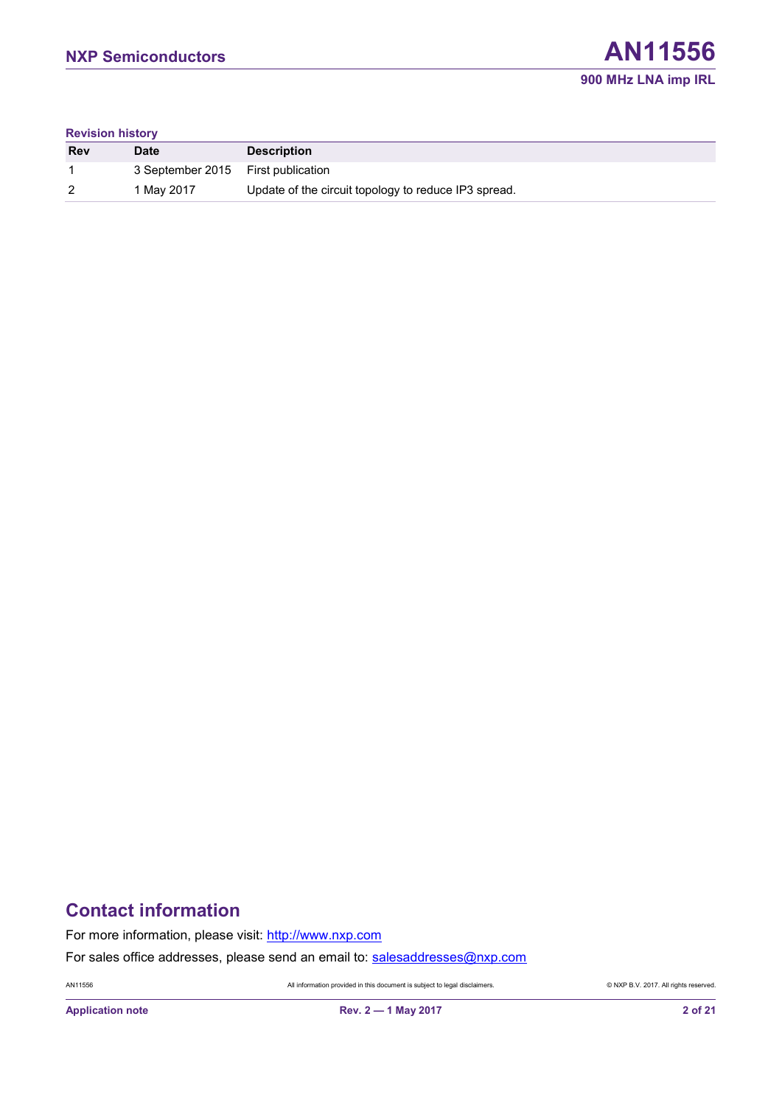#### **Revision history**

| <b>Rev</b> | <b>Date</b>                        | <b>Description</b>                                   |
|------------|------------------------------------|------------------------------------------------------|
|            | 3 September 2015 First publication |                                                      |
| 2          | 1 May 2017                         | Update of the circuit topology to reduce IP3 spread. |

# **Contact information**

For more information, please visit: [http://www.nxp.com](http://www.nxp.com/)

For sales office addresses, please send an email to: [salesaddresses@nxp.com](mailto:salesaddresses@nxp.com)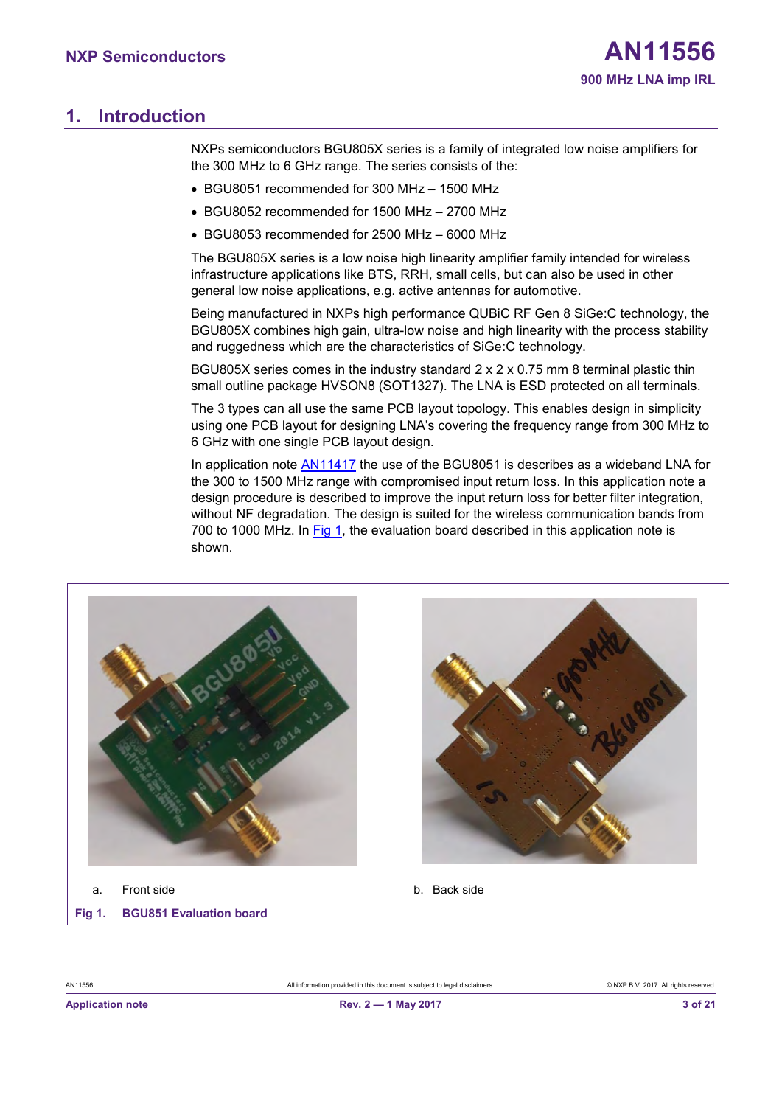## <span id="page-2-1"></span>**1. Introduction**

NXPs semiconductors BGU805X series is a family of integrated low noise amplifiers for the 300 MHz to 6 GHz range. The series consists of the:

- BGU8051 recommended for 300 MHz 1500 MHz
- BGU8052 recommended for 1500 MHz 2700 MHz
- BGU8053 recommended for 2500 MHz 6000 MHz

The BGU805X series is a low noise high linearity amplifier family intended for wireless infrastructure applications like BTS, RRH, small cells, but can also be used in other general low noise applications, e.g. active antennas for automotive.

Being manufactured in NXPs high performance QUBiC RF Gen 8 SiGe:C technology, the BGU805X combines high gain, ultra-low noise and high linearity with the process stability and ruggedness which are the characteristics of SiGe:C technology.

BGU805X series comes in the industry standard 2 x 2 x 0.75 mm 8 terminal plastic thin small outline package HVSON8 (SOT1327). The LNA is ESD protected on all terminals.

The 3 types can all use the same PCB layout topology. This enables design in simplicity using one PCB layout for designing LNA's covering the frequency range from 300 MHz to 6 GHz with one single PCB layout design.

In application note [AN11417](http://www.nxp.com/documents/application_note/AN11417.pdf) the use of the BGU8051 is describes as a wideband LNA for the 300 to 1500 MHz range with compromised input return loss. In this application note a design procedure is described to improve the input return loss for better filter integration, without NF degradation. The design is suited for the wireless communication bands from 700 to 1000 MHz. In [Fig 1,](#page-2-0) the evaluation board described in this application note is shown.





a. Front side b. Back side

<span id="page-2-0"></span>**Fig 1. BGU851 Evaluation board**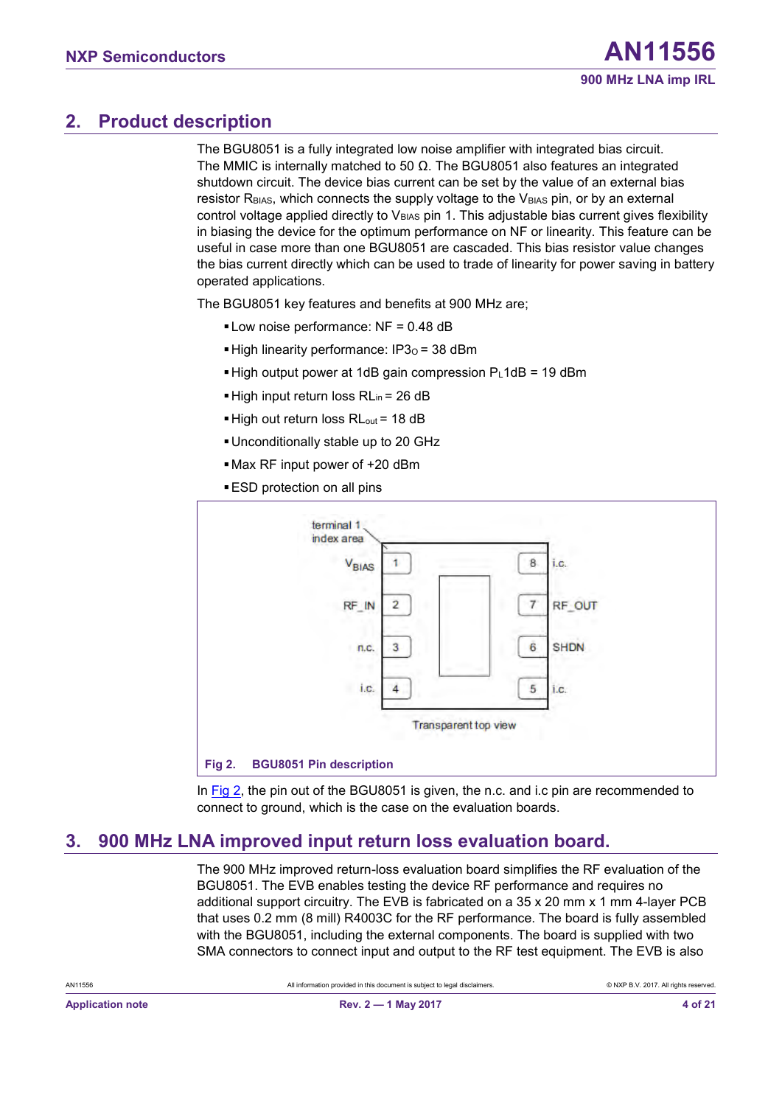## <span id="page-3-1"></span>**2. Product description**

The BGU8051 is a fully integrated low noise amplifier with integrated bias circuit. The MMIC is internally matched to 50  $\Omega$ . The BGU8051 also features an integrated shutdown circuit. The device bias current can be set by the value of an external bias resistor  $R_{BIAS}$ , which connects the supply voltage to the  $V_{BIAS}$  pin, or by an external control voltage applied directly to  $V_{BIAS}$  pin 1. This adjustable bias current gives flexibility in biasing the device for the optimum performance on NF or linearity. This feature can be useful in case more than one BGU8051 are cascaded. This bias resistor value changes the bias current directly which can be used to trade of linearity for power saving in battery operated applications.

The BGU8051 key features and benefits at 900 MHz are;

- **.** Low noise performance: NF = 0.48 dB
- **.** High linearity performance:  $IP3<sub>O</sub> = 38$  dBm
- $\blacktriangleright$  High output power at 1dB gain compression PL1dB = 19 dBm
- $\blacksquare$  High input return loss RL<sub>in</sub> = 26 dB
- High out return loss RL<sub>out</sub> = 18 dB
- ▪Unconditionally stable up to 20 GHz
- ▪Max RF input power of +20 dBm
- **ESD** protection on all pins



<span id="page-3-0"></span>In [Fig 2,](#page-3-0) the pin out of the BGU8051 is given, the n.c. and i.c pin are recommended to connect to ground, which is the case on the evaluation boards.

## <span id="page-3-2"></span>**3. 900 MHz LNA improved input return loss evaluation board.**

The 900 MHz improved return-loss evaluation board simplifies the RF evaluation of the BGU8051. The EVB enables testing the device RF performance and requires no additional support circuitry. The EVB is fabricated on a 35 x 20 mm x 1 mm 4-layer PCB that uses 0.2 mm (8 mill) R4003C for the RF performance. The board is fully assembled with the BGU8051, including the external components. The board is supplied with two SMA connectors to connect input and output to the RF test equipment. The EVB is also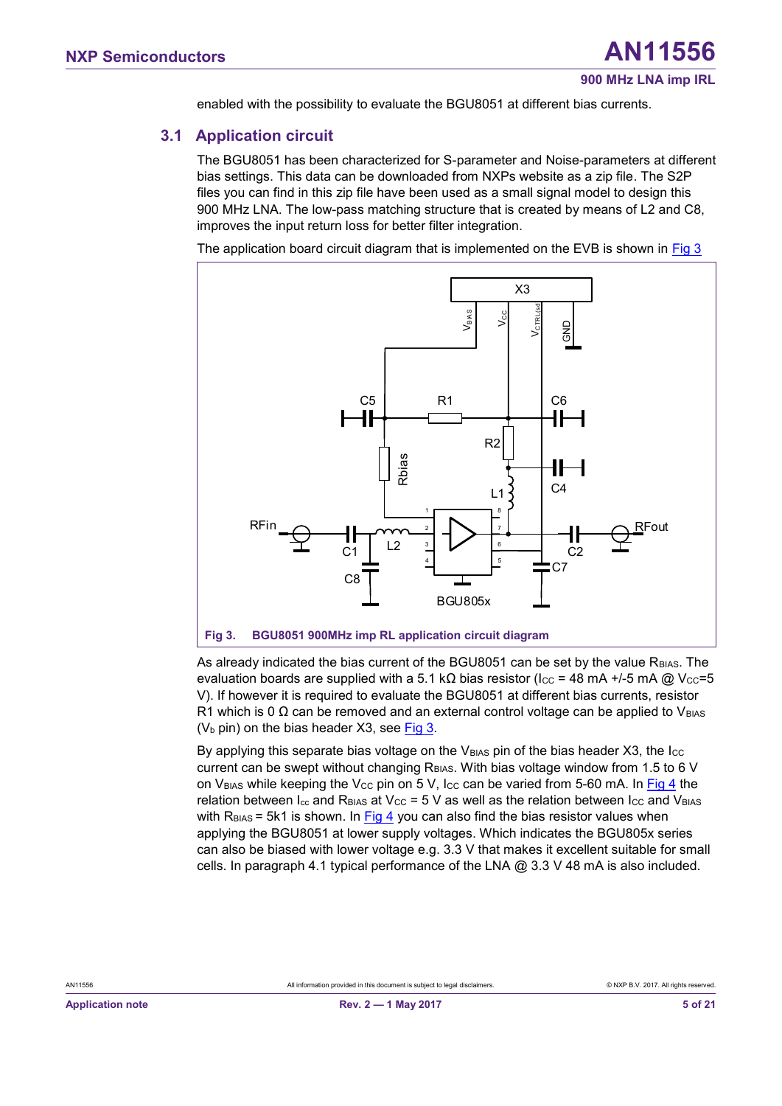<span id="page-4-1"></span>enabled with the possibility to evaluate the BGU8051 at different bias currents.

#### **3.1 Application circuit**

The BGU8051 has been characterized for S-parameter and Noise-parameters at different bias settings. This data can be downloaded from NXPs website as a zip file. The S2P files you can find in this zip file have been used as a small signal model to design this 900 MHz LNA. The low-pass matching structure that is created by means of L2 and C8, improves the input return loss for better filter integration.

The application board circuit diagram that is implemented on the EVB is shown in  $Fig 3$ 



<span id="page-4-0"></span>As already indicated the bias current of the BGU8051 can be set by the value R<sub>BIAS</sub>. The evaluation boards are supplied with a 5.1 kΩ bias resistor (Icc = 48 mA +/-5 mA @ Vcc=5 V). If however it is required to evaluate the BGU8051 at different bias currents, resistor R1 which is 0  $\Omega$  can be removed and an external control voltage can be applied to V<sub>BIAS</sub> ( $V<sub>b</sub>$  pin) on the bias header X3, see [Fig 3.](#page-4-0)

By applying this separate bias voltage on the  $V_{BIAS}$  pin of the bias header X3, the  $I_{CC}$ current can be swept without changing RBIAS. With bias voltage window from 1.5 to 6 V on V<sub>BIAS</sub> while keeping the V<sub>CC</sub> pin on 5 V, I<sub>CC</sub> can be varied from 5-60 mA. In [Fig 4](#page-5-0) the relation between  $I_{cc}$  and  $R_{BIAS}$  at V<sub>CC</sub> = 5 V as well as the relation between  $I_{CC}$  and V<sub>BIAS</sub> with  $R<sub>BIAS</sub> = 5k1$  is shown. In [Fig 4](#page-5-0) you can also find the bias resistor values when applying the BGU8051 at lower supply voltages. Which indicates the BGU805x series can also be biased with lower voltage e.g. 3.3 V that makes it excellent suitable for small cells. In paragraph 4.1 typical performance of the LNA  $@$  3.3 V 48 mA is also included.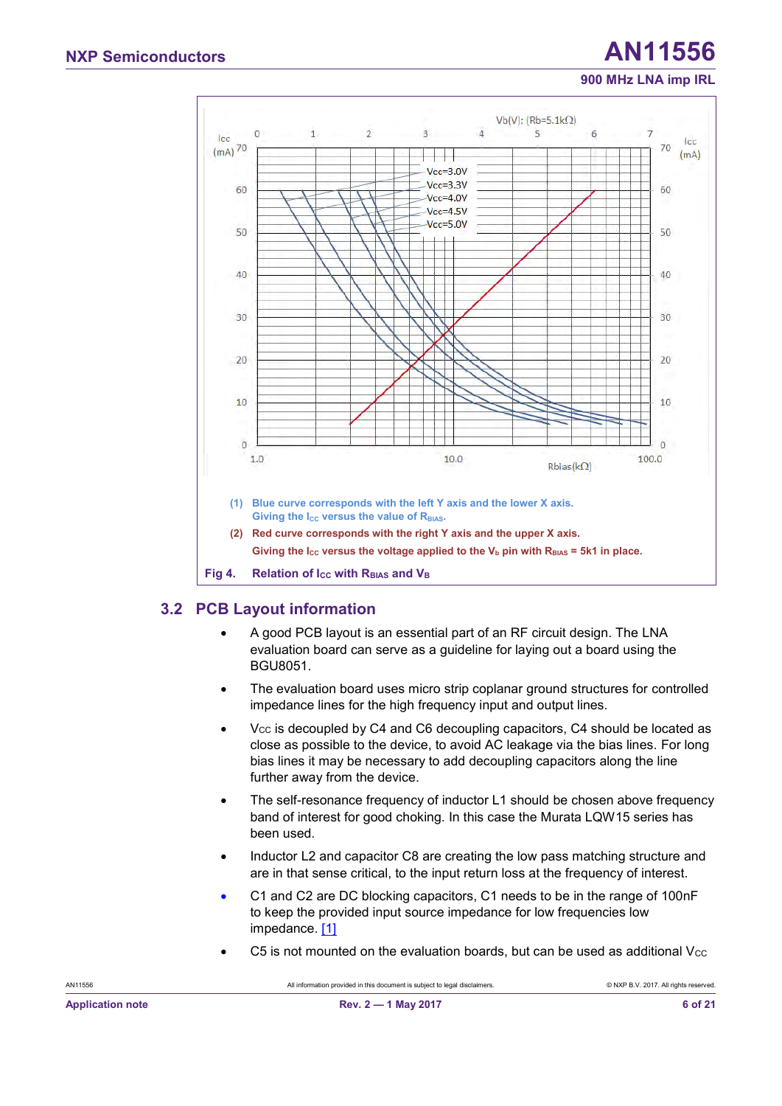# **NXP Semiconductors AN11556**

#### **900 MHz LNA imp IRL**



## <span id="page-5-1"></span><span id="page-5-0"></span>**3.2 PCB Layout information**

- A good PCB layout is an essential part of an RF circuit design. The LNA evaluation board can serve as a guideline for laying out a board using the BGU8051.
- The evaluation board uses micro strip coplanar ground structures for controlled impedance lines for the high frequency input and output lines.
- $V_{CC}$  is decoupled by C4 and C6 decoupling capacitors, C4 should be located as close as possible to the device, to avoid AC leakage via the bias lines. For long bias lines it may be necessary to add decoupling capacitors along the line further away from the device.
- The self-resonance frequency of inductor L1 should be chosen above frequency band of interest for good choking. In this case the Murata LQW15 series has been used.
- Inductor L2 and capacitor C8 are creating the low pass matching structure and are in that sense critical, to the input return loss at the frequency of interest.
- C1 and C2 are DC blocking capacitors, C1 needs to be in the range of 100nF to keep the provided input source impedance for low frequencies low impedance. [\[1\]](#page-16-0)
- C5 is not mounted on the evaluation boards, but can be used as additional  $V_{\text{CC}}$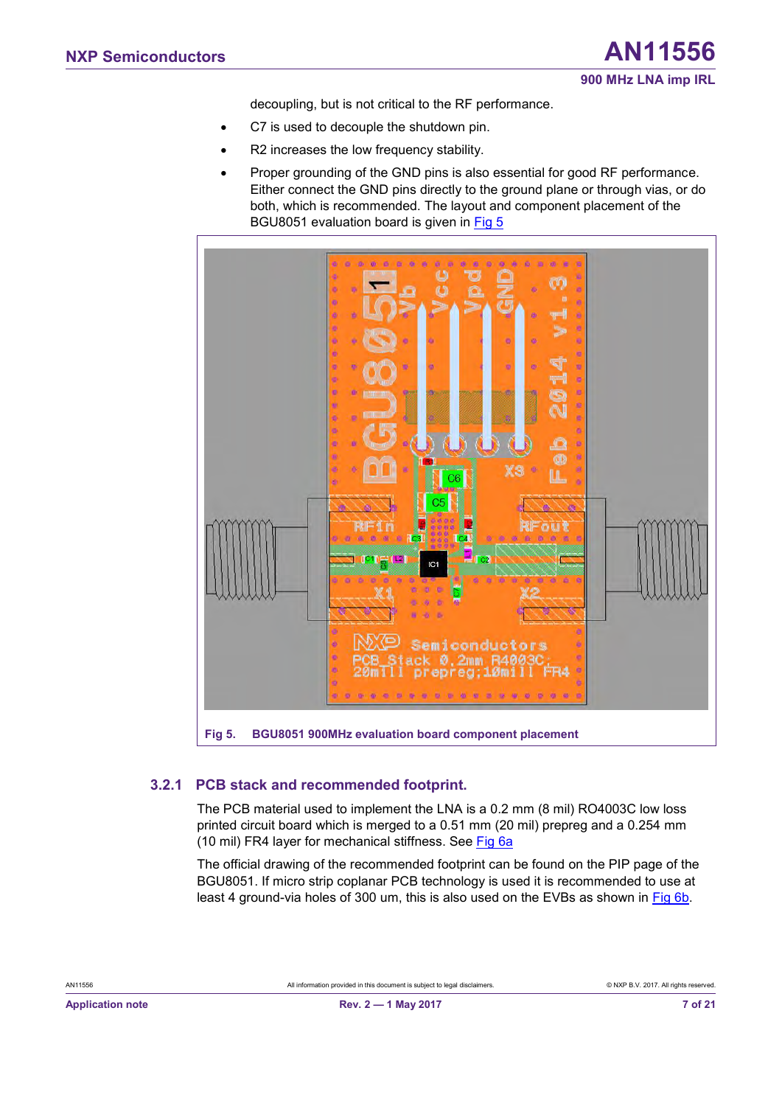decoupling, but is not critical to the RF performance.

- C7 is used to decouple the shutdown pin.
- R2 increases the low frequency stability.
- Proper grounding of the GND pins is also essential for good RF performance. Either connect the GND pins directly to the ground plane or through vias, or do both, which is recommended. The layout and component placement of the BGU8051 evaluation board is given in [Fig 5](#page-6-0)



#### <span id="page-6-0"></span>**3.2.1 PCB stack and recommended footprint.**

<span id="page-6-1"></span>The PCB material used to implement the LNA is a 0.2 mm (8 mil) RO4003C low loss printed circuit board which is merged to a 0.51 mm (20 mil) prepreg and a 0.254 mm (10 mil) FR4 layer for mechanical stiffness. See [Fig 6a](#page-7-0)

The official drawing of the recommended footprint can be found on the PIP page of the BGU8051. If micro strip coplanar PCB technology is used it is recommended to use at least 4 ground-via holes of 300 um, this is also used on the EVBs as shown in [Fig 6b.](#page-7-0)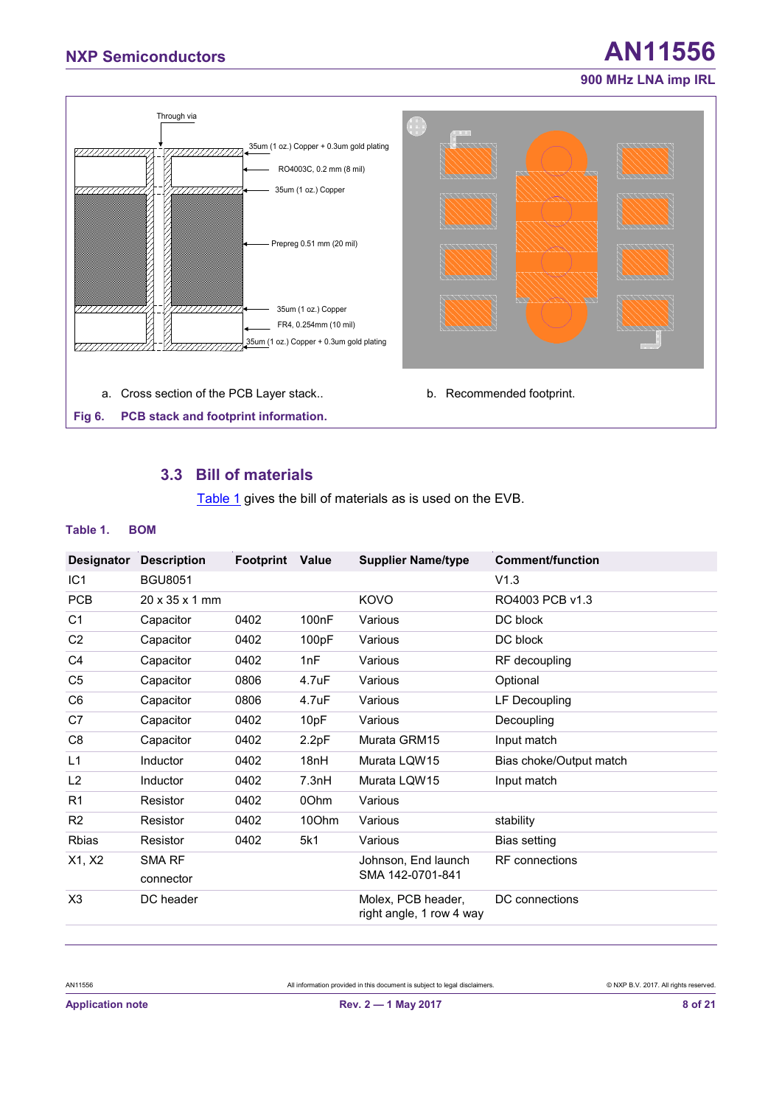

#### <span id="page-7-2"></span><span id="page-7-1"></span><span id="page-7-0"></span>**3.3 Bill of materials**

[Table 1](#page-7-1) gives the bill of materials as is used on the EVB.

#### **Table 1. BOM**

|                 |                            |           |       |                                                | <b>Comment/function</b> |
|-----------------|----------------------------|-----------|-------|------------------------------------------------|-------------------------|
| Designator      | <b>Description</b>         | Footprint | Value | <b>Supplier Name/type</b>                      |                         |
| IC <sub>1</sub> | <b>BGU8051</b>             |           |       |                                                | V1.3                    |
| <b>PCB</b>      | $20 \times 35 \times 1$ mm |           |       | KOVO                                           | RO4003 PCB v1.3         |
| C <sub>1</sub>  | Capacitor                  | 0402      | 100nF | Various                                        | DC block                |
| C <sub>2</sub>  | Capacitor                  | 0402      | 100pF | Various                                        | DC block                |
| C4              | Capacitor                  | 0402      | 1nF   | Various                                        | RF decoupling           |
| C <sub>5</sub>  | Capacitor                  | 0806      | 4.7uF | Various                                        | Optional                |
| C6              | Capacitor                  | 0806      | 4.7uF | Various                                        | LF Decoupling           |
| C7              | Capacitor                  | 0402      | 10pF  | Various                                        | Decoupling              |
| C <sub>8</sub>  | Capacitor                  | 0402      | 2.2pF | Murata GRM15                                   | Input match             |
| L1              | Inductor                   | 0402      | 18nH  | Murata LQW15                                   | Bias choke/Output match |
| L <sub>2</sub>  | Inductor                   | 0402      | 7.3nH | Murata LQW15                                   | Input match             |
| R <sub>1</sub>  | Resistor                   | 0402      | 00hm  | Various                                        |                         |
| R <sub>2</sub>  | Resistor                   | 0402      | 10Ohm | Various                                        | stability               |
| <b>Rbias</b>    | Resistor                   | 0402      | 5k1   | Various                                        | Bias setting            |
| X1, X2          | SMA RF                     |           |       | Johnson, End launch                            | <b>RF</b> connections   |
|                 | connector                  |           |       | SMA 142-0701-841                               |                         |
| X <sub>3</sub>  | DC header                  |           |       | Molex, PCB header,<br>right angle, 1 row 4 way | DC connections          |
|                 |                            |           |       |                                                |                         |

All information provided in this document is subject to legal disclaimers. **All information provided in this document** is subject to legal disclaimers.

# **NXP Semiconductors AN11556**

**900 MHz LNA imp IRL**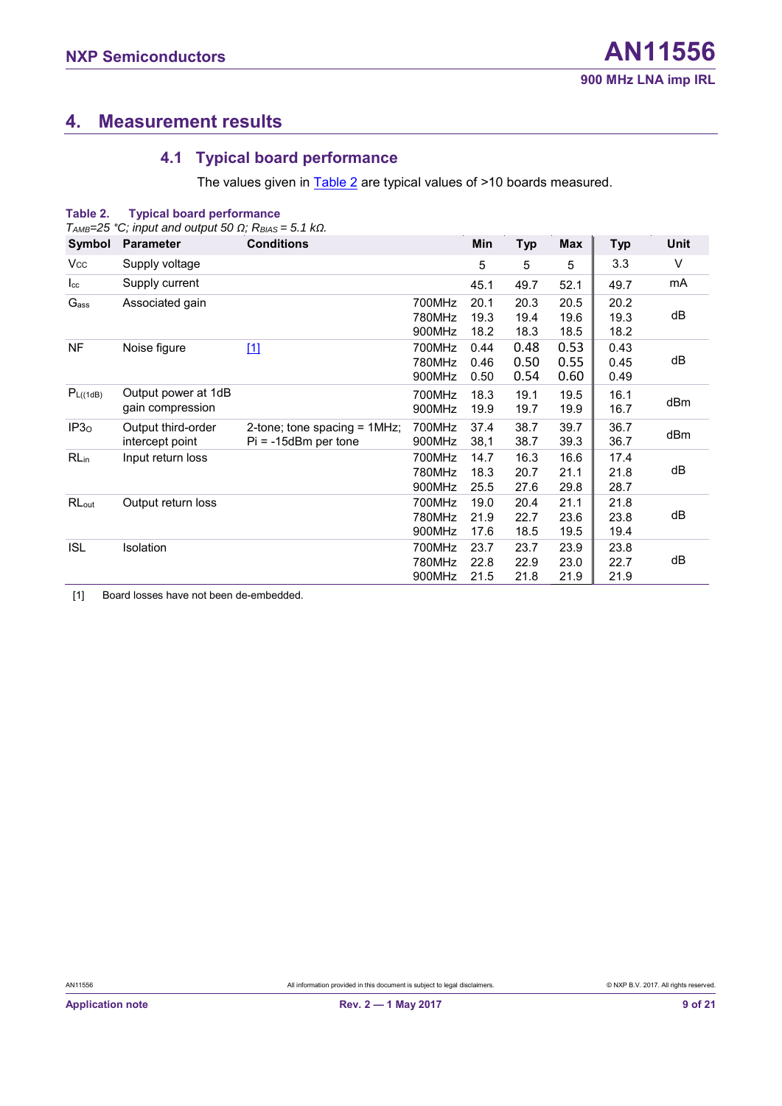# <span id="page-8-2"></span>**4. Measurement results**

## <span id="page-8-0"></span>**4.1 Typical board performance**

<span id="page-8-3"></span>The values given in **Table 2** are typical values of >10 boards measured.

| Table 2.             | <b>Typical board performance</b>                                            |                                                           |                            |                      |                      |                      |                      |      |
|----------------------|-----------------------------------------------------------------------------|-----------------------------------------------------------|----------------------------|----------------------|----------------------|----------------------|----------------------|------|
|                      | $T_{AMB}=25$ °C; input and output 50 $\Omega$ ; $R_{BIAS}=5.1$ k $\Omega$ . |                                                           |                            |                      |                      |                      |                      |      |
| Symbol               | <b>Parameter</b>                                                            | <b>Conditions</b>                                         |                            | Min                  | <b>Typ</b>           | Max                  | <b>Typ</b>           | Unit |
| $V_{\rm CC}$         | Supply voltage                                                              |                                                           |                            | 5                    | 5                    | 5                    | 3.3                  | V    |
| $I_{\rm cc}$         | Supply current                                                              |                                                           |                            | 45.1                 | 49.7                 | 52.1                 | 49.7                 | mA   |
| G <sub>ass</sub>     | Associated gain                                                             |                                                           | 700MHz<br>780MHz<br>900MHz | 20.1<br>19.3<br>18.2 | 20.3<br>19.4<br>18.3 | 20.5<br>19.6<br>18.5 | 20.2<br>19.3<br>18.2 | dB   |
| <b>NF</b>            | Noise figure                                                                | $\boxed{1}$                                               | 700MHz<br>780MHz<br>900MHz | 0.44<br>0.46<br>0.50 | 0.48<br>0.50<br>0.54 | 0.53<br>0.55<br>0.60 | 0.43<br>0.45<br>0.49 | dB   |
| P <sub>L((1dB)</sub> | Output power at 1dB<br>gain compression                                     |                                                           | 700MHz<br>900MHz           | 18.3<br>19.9         | 19.1<br>19.7         | 19.5<br>19.9         | 16.1<br>16.7         | dBm  |
| IP3 <sub>0</sub>     | Output third-order<br>intercept point                                       | 2-tone; tone spacing $= 1MHz$ ;<br>$Pi = -15dBm$ per tone | 700MHz<br>900MHz           | 37.4<br>38,1         | 38.7<br>38.7         | 39.7<br>39.3         | 36.7<br>36.7         | dBm  |
| $RL_{in}$            | Input return loss                                                           |                                                           | 700MHz<br>780MHz<br>900MHz | 14.7<br>18.3<br>25.5 | 16.3<br>20.7<br>27.6 | 16.6<br>21.1<br>29.8 | 17.4<br>21.8<br>28.7 | dB   |
| RLout                | Output return loss                                                          |                                                           | 700MHz<br>780MHz<br>900MHz | 19.0<br>21.9<br>17.6 | 20.4<br>22.7<br>18.5 | 21.1<br>23.6<br>19.5 | 21.8<br>23.8<br>19.4 | dB   |
| <b>ISL</b>           | Isolation                                                                   |                                                           | 700MHz<br>780MHz<br>900MHz | 23.7<br>22.8<br>21.5 | 23.7<br>22.9<br>21.8 | 23.9<br>23.0<br>21.9 | 23.8<br>22.7<br>21.9 | dB   |

<span id="page-8-1"></span>[1] Board losses have not been de-embedded.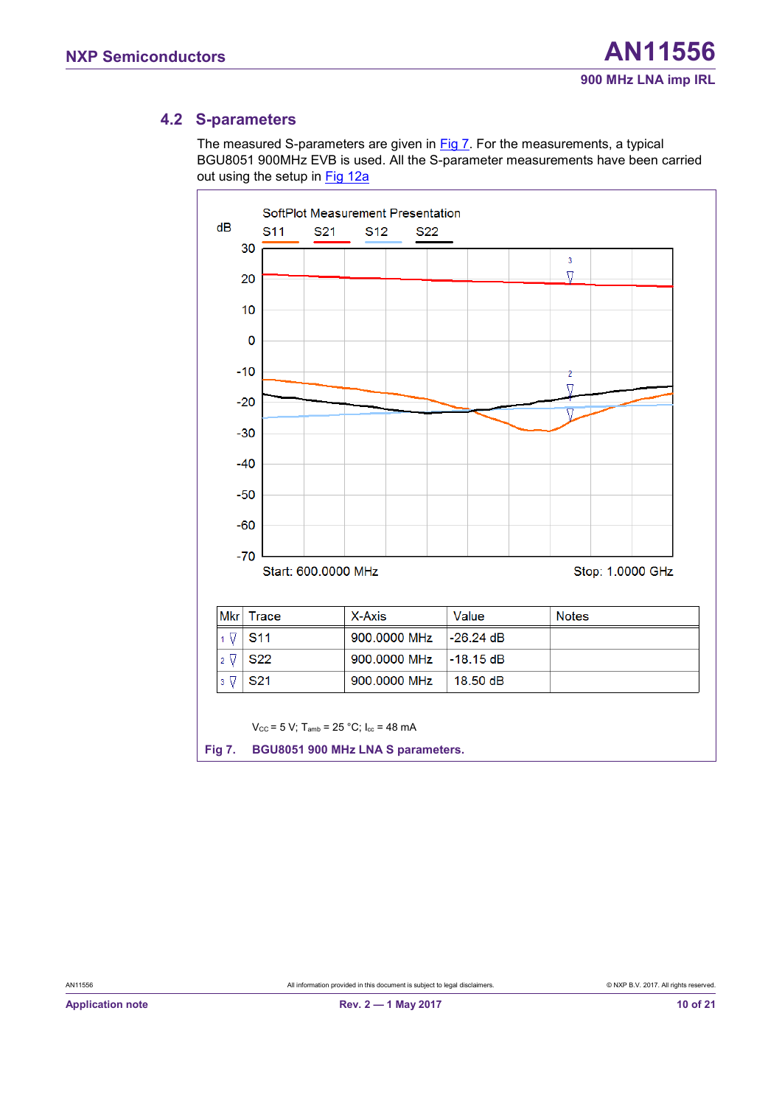#### <span id="page-9-1"></span>**4.2 S-parameters**

The measured S-parameters are given in [Fig 7.](#page-9-0) For the measurements, a typical BGU8051 900MHz EVB is used. All the S-parameter measurements have been carried out using the setup in [Fig 12a](#page-15-0)



<span id="page-9-0"></span>All information provided in this document is subject to legal disclaimers. **All information provided in this document** is subject to legal disclaimers.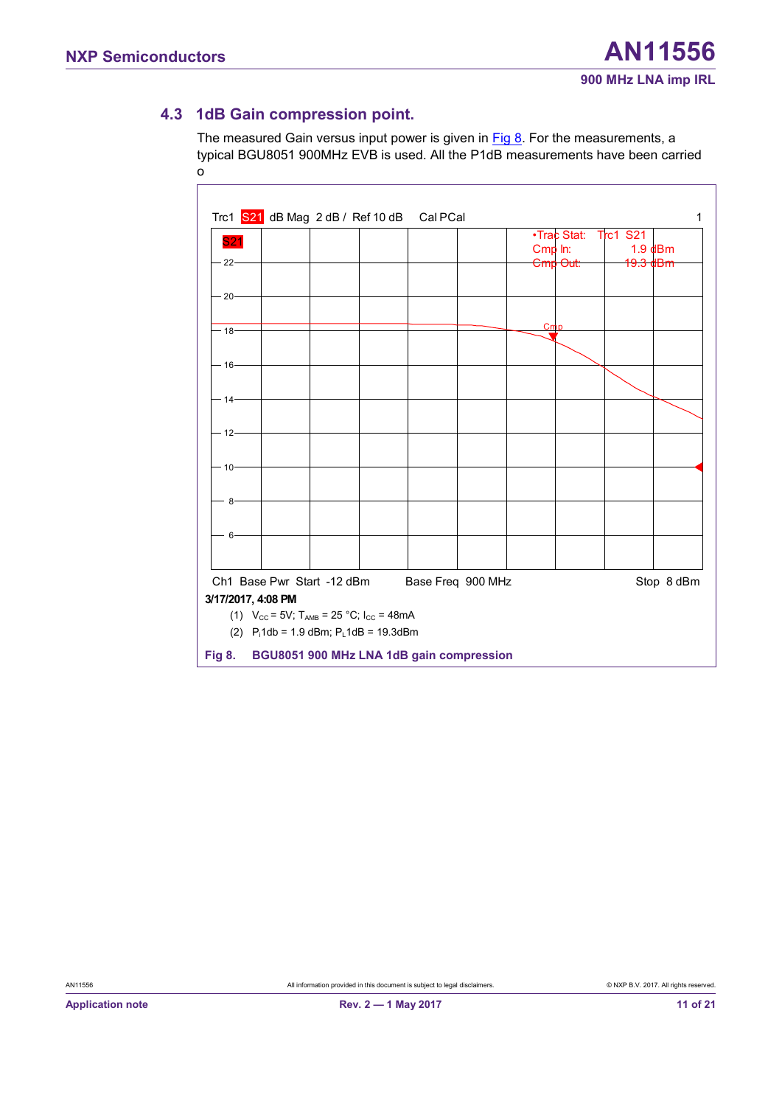## <span id="page-10-1"></span>**4.3 1dB Gain compression point.**

The measured Gain versus input power is given in  $Fig 8$ . For the measurements, a typical BGU8051 900MHz EVB is used. All the P1dB measurements have been carried out using the setup in  $\mathcal{L}_{\mathcal{A}}$ 

|               | Trc1 S21 dB Mag 2 dB / Ref 10 dB                                     |  | Cal PCal          |         |                     |                     | 1          |
|---------------|----------------------------------------------------------------------|--|-------------------|---------|---------------------|---------------------|------------|
|               |                                                                      |  |                   |         |                     |                     |            |
| <b>S21</b>    |                                                                      |  |                   |         | •Trac Stat:         | <b>Trc1 S21</b>     |            |
|               |                                                                      |  |                   | Cmp In: |                     | $1.9$ dBm           |            |
| $22 -$        |                                                                      |  |                   |         | <del>Cmp Out:</del> | <del>19.3 dBm</del> |            |
|               |                                                                      |  |                   |         |                     |                     |            |
| $-20-$        |                                                                      |  |                   |         |                     |                     |            |
|               |                                                                      |  |                   |         |                     |                     |            |
|               |                                                                      |  |                   |         |                     |                     |            |
| $-18-$        |                                                                      |  |                   | Cmp     |                     |                     |            |
|               |                                                                      |  |                   |         |                     |                     |            |
| $-16-$        |                                                                      |  |                   |         |                     |                     |            |
|               |                                                                      |  |                   |         |                     |                     |            |
|               |                                                                      |  |                   |         |                     |                     |            |
| $-14-$        |                                                                      |  |                   |         |                     |                     |            |
|               |                                                                      |  |                   |         |                     |                     |            |
| $-12-$        |                                                                      |  |                   |         |                     |                     |            |
|               |                                                                      |  |                   |         |                     |                     |            |
|               |                                                                      |  |                   |         |                     |                     |            |
| $-10-$        |                                                                      |  |                   |         |                     |                     |            |
|               |                                                                      |  |                   |         |                     |                     |            |
|               |                                                                      |  |                   |         |                     |                     |            |
| - 8-          |                                                                      |  |                   |         |                     |                     |            |
|               |                                                                      |  |                   |         |                     |                     |            |
| - 6           |                                                                      |  |                   |         |                     |                     |            |
|               |                                                                      |  |                   |         |                     |                     |            |
|               |                                                                      |  |                   |         |                     |                     |            |
|               |                                                                      |  |                   |         |                     |                     |            |
|               | Ch1 Base Pwr Start -12 dBm                                           |  | Base Freq 900 MHz |         |                     |                     | Stop 8 dBm |
|               | 3/17/2017, 4:08 PM                                                   |  |                   |         |                     |                     |            |
|               | (1) $V_{CC} = 5V$ ; T <sub>AMB</sub> = 25 °C; I <sub>CC</sub> = 48mA |  |                   |         |                     |                     |            |
|               | (2) $P_i$ 1db = 1.9 dBm; $P_l$ 1dB = 19.3dBm                         |  |                   |         |                     |                     |            |
|               |                                                                      |  |                   |         |                     |                     |            |
| <b>Fig 8.</b> | BGU8051 900 MHz LNA 1dB gain compression                             |  |                   |         |                     |                     |            |

<span id="page-10-0"></span>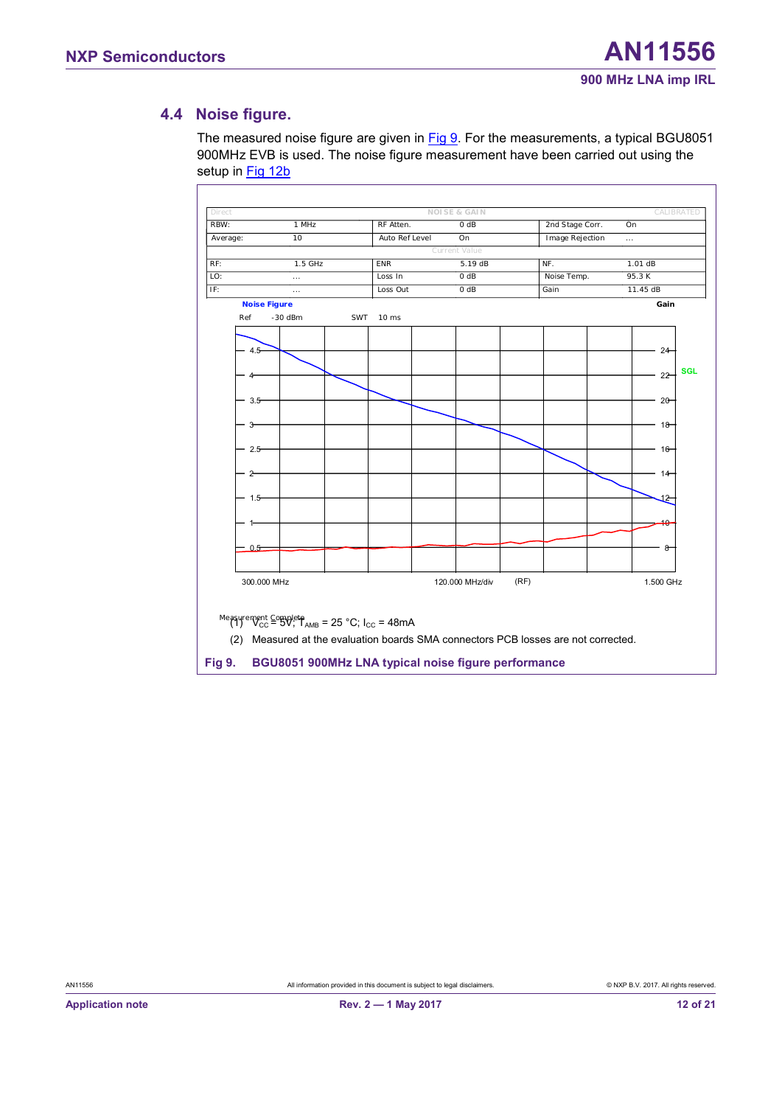#### <span id="page-11-1"></span>**4.4 Noise figure.**

The measured noise figure are given in [Fig 9.](#page-11-0) For the measurements, a typical BGU8051 900MHz EVB is used. The noise figure measurement have been carried out using the setup in [Fig 12b](#page-15-0)



<span id="page-11-0"></span>All information provided in this document is subject to legal disclaimers. **All information provided in this document** is subject to legal disclaimers.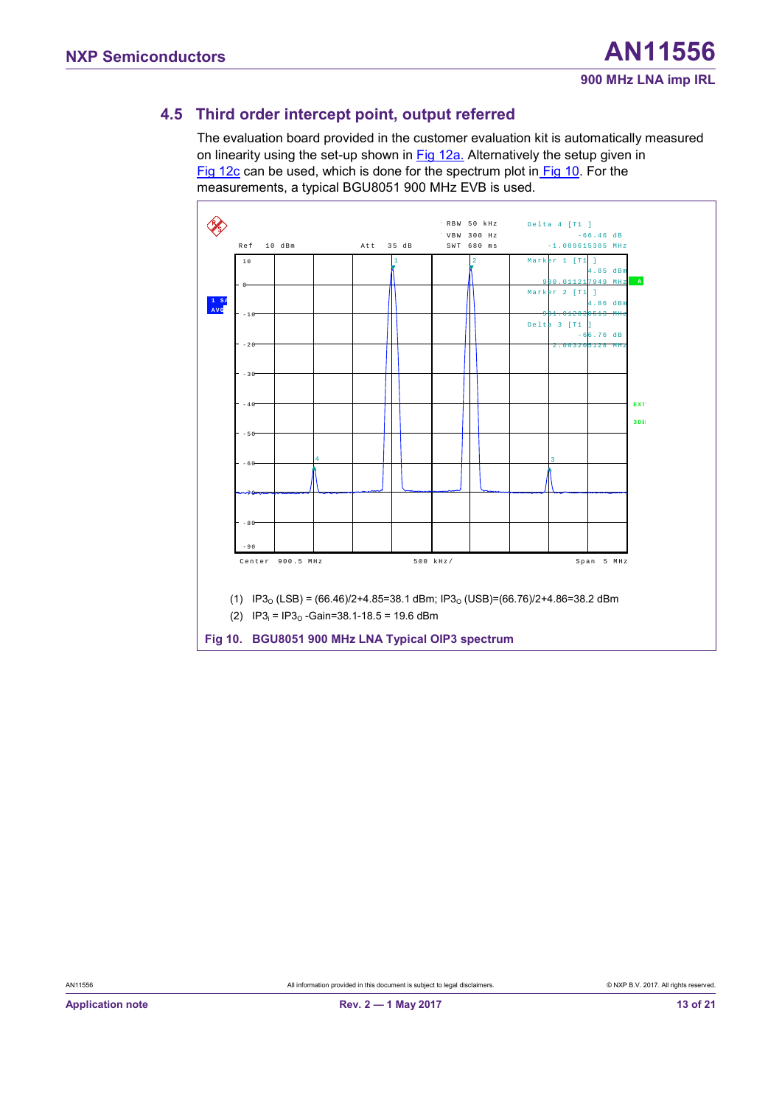## <span id="page-12-1"></span>**4.5 Third order intercept point, output referred**

The evaluation board provided in the customer evaluation kit is automatically measured on linearity using the set-up shown in [Fig 12a.](#page-15-0) Alternatively the setup given in [Fig 12c](#page-15-0) can be used, which is done for the spectrum plot in [Fig 10.](#page-12-0) For the measurements, a typical BGU8051 900 MHz EVB is used.



<span id="page-12-0"></span>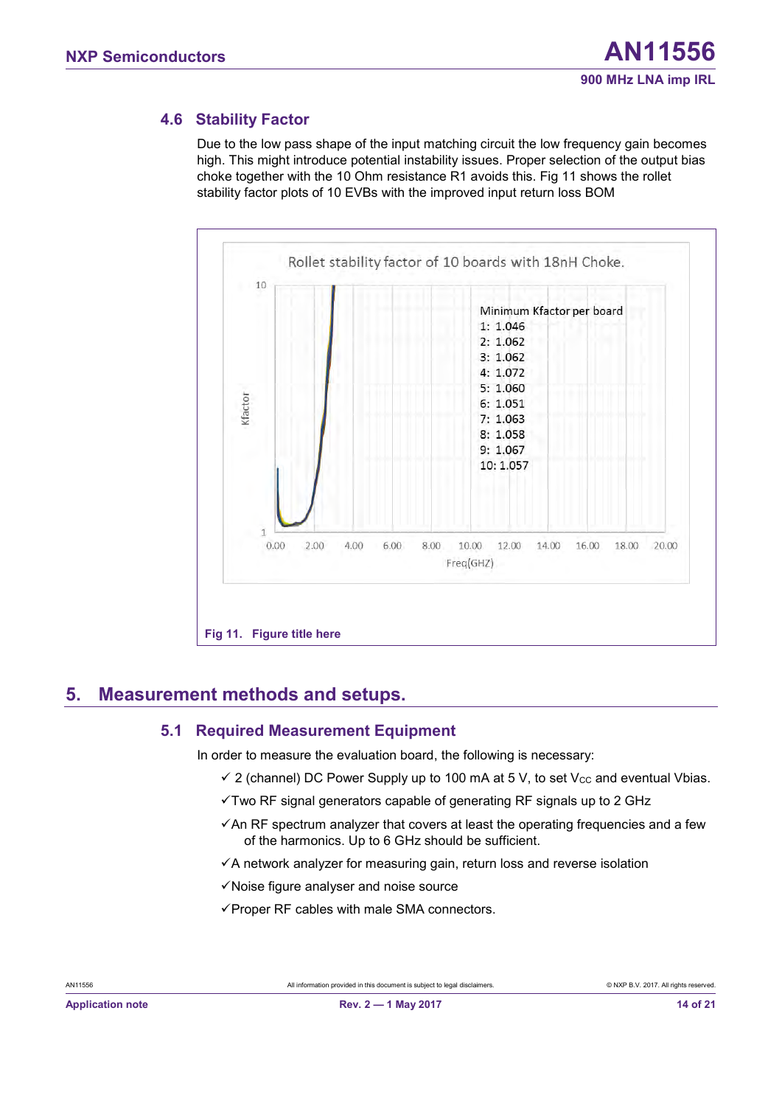#### <span id="page-13-1"></span>**4.6 Stability Factor**

Due to the low pass shape of the input matching circuit the low frequency gain becomes high. This might introduce potential instability issues. Proper selection of the output bias choke together with the 10 Ohm resistance R1 avoids this. [Fig 11](#page-13-0) shows the rollet stability factor plots of 10 EVBs with the improved input return loss BOM



## <span id="page-13-2"></span>**5. Measurement methods and setups.**

#### <span id="page-13-0"></span>**5.1 Required Measurement Equipment**

<span id="page-13-3"></span>In order to measure the evaluation board, the following is necessary:

- $\checkmark$  2 (channel) DC Power Supply up to 100 mA at 5 V, to set V<sub>cc</sub> and eventual Vbias.
- ✓Two RF signal generators capable of generating RF signals up to 2 GHz
- $\checkmark$  An RF spectrum analyzer that covers at least the operating frequencies and a few of the harmonics. Up to 6 GHz should be sufficient.
- ✓A network analyzer for measuring gain, return loss and reverse isolation
- ✓Noise figure analyser and noise source
- ✓Proper RF cables with male SMA connectors.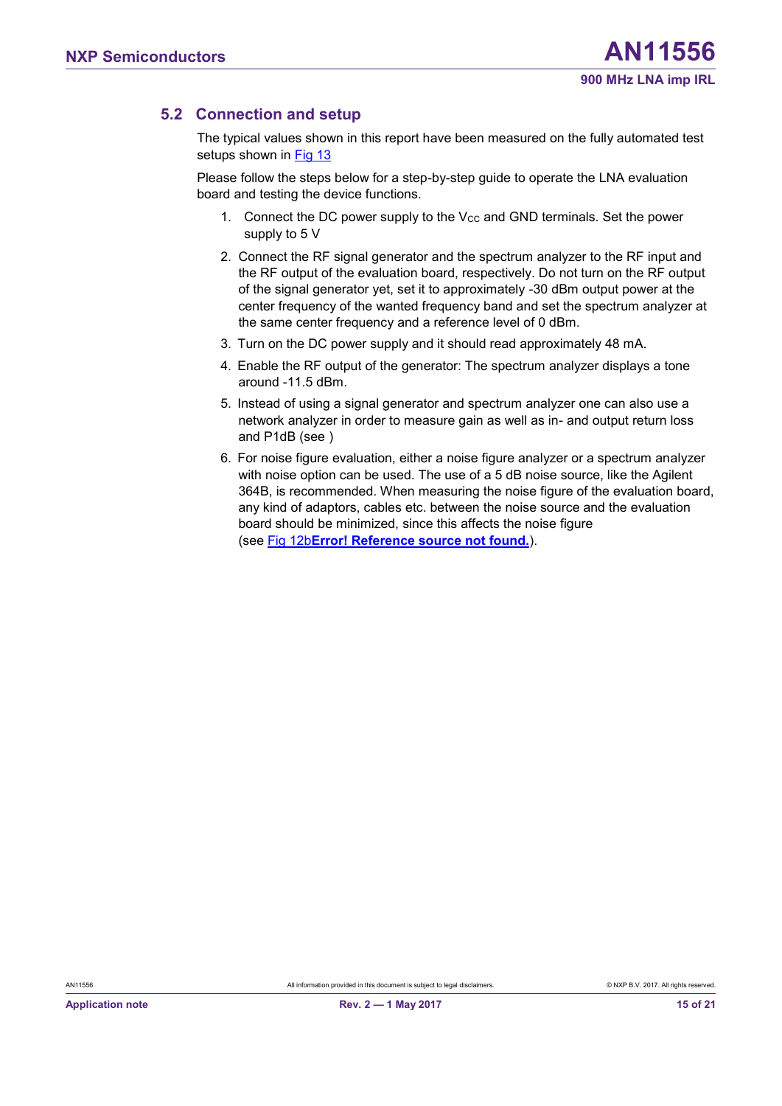### <span id="page-14-0"></span>**5.2 Connection and setup**

The typical values shown in this report have been measured on the fully automated test setups shown in [Fig 13](#page-16-1)

Please follow the steps below for a step-by-step guide to operate the LNA evaluation board and testing the device functions.

- 1. Connect the DC power supply to the  $V_{CC}$  and GND terminals. Set the power supply to 5 V
- 2. Connect the RF signal generator and the spectrum analyzer to the RF input and the RF output of the evaluation board, respectively. Do not turn on the RF output of the signal generator yet, set it to approximately -30 dBm output power at the center frequency of the wanted frequency band and set the spectrum analyzer at the same center frequency and a reference level of 0 dBm.
- 3. Turn on the DC power supply and it should read approximately 48 mA.
- 4. Enable the RF output of the generator: The spectrum analyzer displays a tone around -11.5 dBm.
- 5. Instead of using a signal generator and spectrum analyzer one can also use a network analyzer in order to measure gain as well as in- and output return loss and P1dB (see )
- 6. For noise figure evaluation, either a noise figure analyzer or a spectrum analyzer with noise option can be used. The use of a 5 dB noise source, like the Agilent 364B, is recommended. When measuring the noise figure of the evaluation board, any kind of adaptors, cables etc. between the noise source and the evaluation board should be minimized, since this affects the noise figure (se[e Fig 12b](#page-15-0)**Error! Reference source not found.**).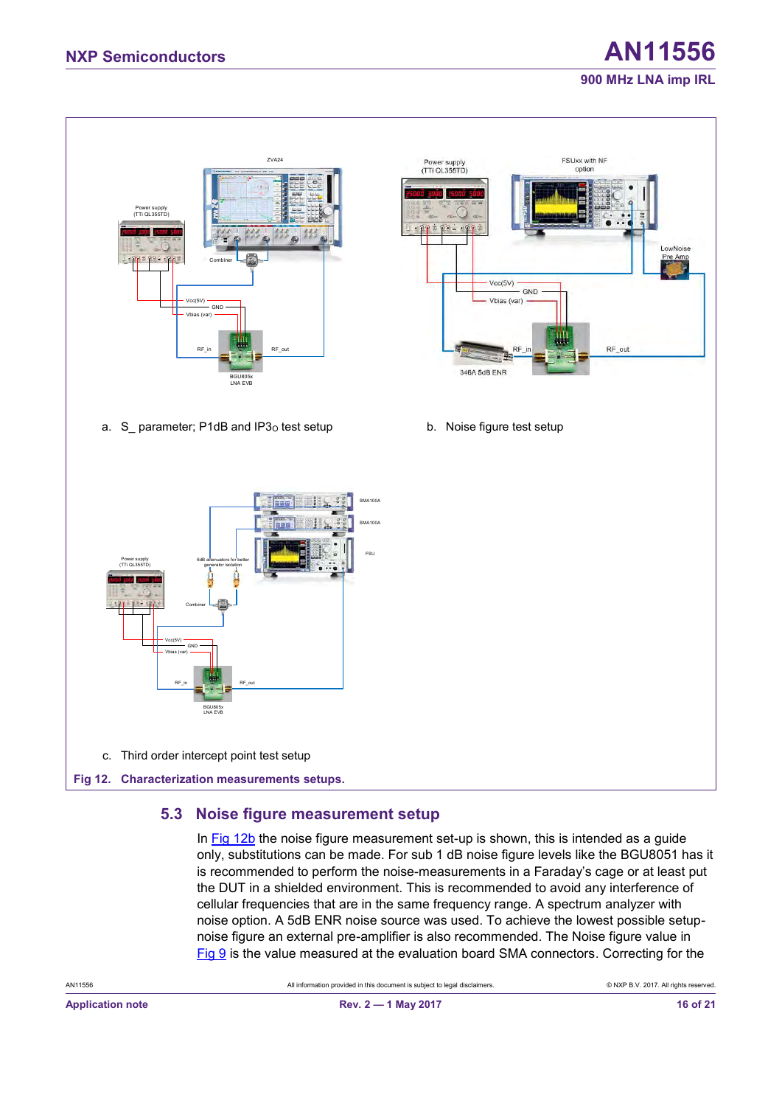# **NXP Semiconductors AN11556 900 MHz LNA imp IRL**



## <span id="page-15-1"></span><span id="page-15-0"></span>**5.3 Noise figure measurement setup**

In [Fig 12b](#page-15-0) the noise figure measurement set-up is shown, this is intended as a guide only, substitutions can be made. For sub 1 dB noise figure levels like the BGU8051 has it is recommended to perform the noise-measurements in a Faraday's cage or at least put the DUT in a shielded environment. This is recommended to avoid any interference of cellular frequencies that are in the same frequency range. A spectrum analyzer with noise option. A 5dB ENR noise source was used. To achieve the lowest possible setupnoise figure an external pre-amplifier is also recommended. The Noise figure value in  $Fig 9$  is the value measured at the evaluation board SMA connectors. Correcting for the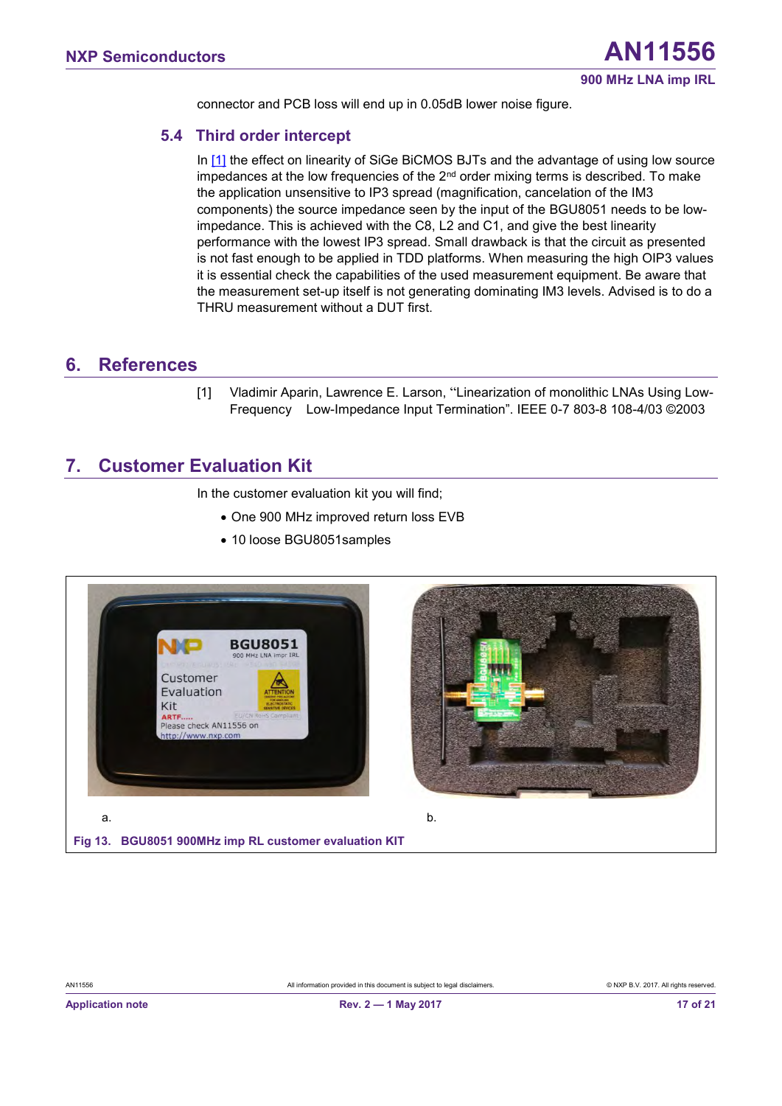<span id="page-16-2"></span>connector and PCB loss will end up in 0.05dB lower noise figure.

#### **5.4 Third order intercept**

In [\[1\]](#page-16-0) the effect on linearity of SiGe BiCMOS BJTs and the advantage of using low source impedances at the low frequencies of the  $2<sup>nd</sup>$  order mixing terms is described. To make the application unsensitive to IP3 spread (magnification, cancelation of the IM3 components) the source impedance seen by the input of the BGU8051 needs to be lowimpedance. This is achieved with the C8, L2 and C1, and give the best linearity performance with the lowest IP3 spread. Small drawback is that the circuit as presented is not fast enough to be applied in TDD platforms. When measuring the high OIP3 values it is essential check the capabilities of the used measurement equipment. Be aware that the measurement set-up itself is not generating dominating IM3 levels. Advised is to do a THRU measurement without a DUT first.

#### <span id="page-16-3"></span>**6. References**

<span id="page-16-0"></span>[1] Vladimir Aparin, Lawrence E. Larson, "Linearization of monolithic LNAs Using Low-Frequency Low-Impedance Input Termination". IEEE 0-7 803-8 108-4/03 ©2003

## <span id="page-16-4"></span>**7. Customer Evaluation Kit**

In the customer evaluation kit you will find;

- One 900 MHz improved return loss EVB
- 10 loose BGU8051samples





<span id="page-16-1"></span>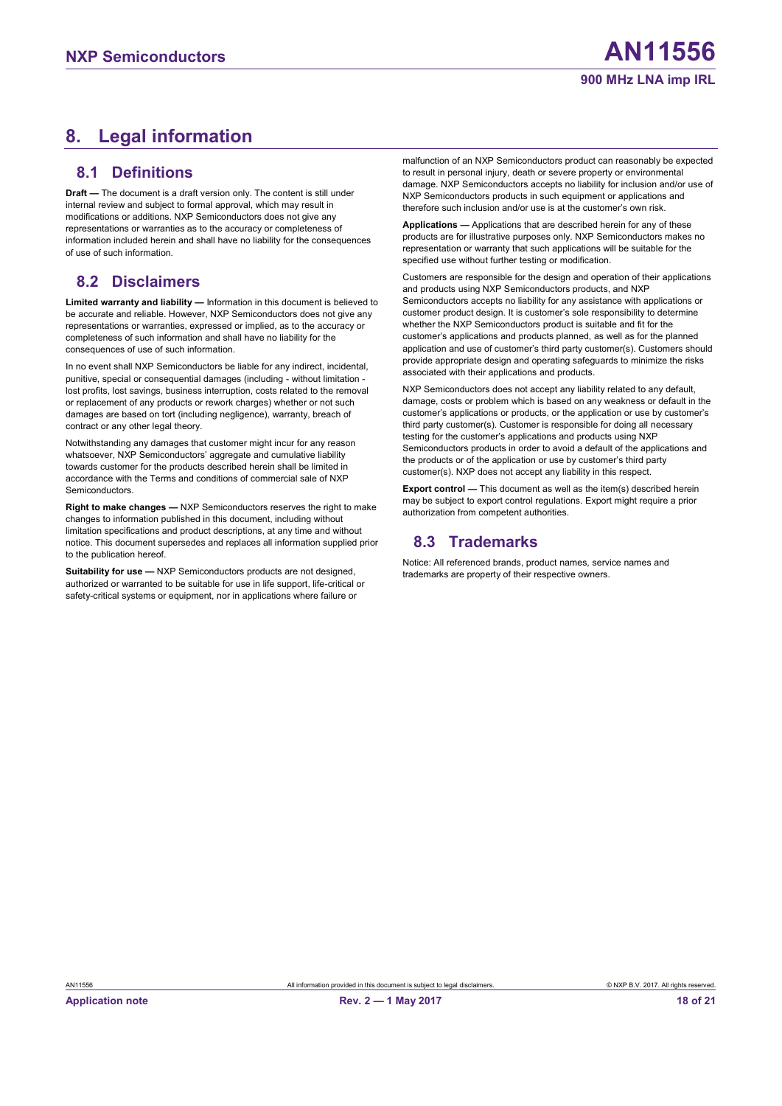# <span id="page-17-0"></span>**8. Legal information**

#### <span id="page-17-1"></span>**8.1 Definitions**

**Draft —** The document is a draft version only. The content is still under internal review and subject to formal approval, which may result in modifications or additions. NXP Semiconductors does not give any representations or warranties as to the accuracy or completeness of information included herein and shall have no liability for the consequences of use of such information.

#### <span id="page-17-2"></span>**8.2 Disclaimers**

**Limited warranty and liability —** Information in this document is believed to be accurate and reliable. However, NXP Semiconductors does not give any representations or warranties, expressed or implied, as to the accuracy or completeness of such information and shall have no liability for the consequences of use of such information.

In no event shall NXP Semiconductors be liable for any indirect, incidental, punitive, special or consequential damages (including - without limitation lost profits, lost savings, business interruption, costs related to the removal or replacement of any products or rework charges) whether or not such damages are based on tort (including negligence), warranty, breach of contract or any other legal theory.

Notwithstanding any damages that customer might incur for any reason whatsoever, NXP Semiconductors' aggregate and cumulative liability towards customer for the products described herein shall be limited in accordance with the Terms and conditions of commercial sale of NXP **Semiconductors** 

**Right to make changes —** NXP Semiconductors reserves the right to make changes to information published in this document, including without limitation specifications and product descriptions, at any time and without notice. This document supersedes and replaces all information supplied prior to the publication hereof.

**Suitability for use - NXP Semiconductors products are not designed,** authorized or warranted to be suitable for use in life support, life-critical or safety-critical systems or equipment, nor in applications where failure or

malfunction of an NXP Semiconductors product can reasonably be expected to result in personal injury, death or severe property or environmental damage. NXP Semiconductors accepts no liability for inclusion and/or use of NXP Semiconductors products in such equipment or applications and therefore such inclusion and/or use is at the customer's own risk.

**Applications —** Applications that are described herein for any of these products are for illustrative purposes only. NXP Semiconductors makes no representation or warranty that such applications will be suitable for the specified use without further testing or modification.

Customers are responsible for the design and operation of their applications and products using NXP Semiconductors products, and NXP Semiconductors accepts no liability for any assistance with applications or customer product design. It is customer's sole responsibility to determine whether the NXP Semiconductors product is suitable and fit for the customer's applications and products planned, as well as for the planned application and use of customer's third party customer(s). Customers should provide appropriate design and operating safeguards to minimize the risks associated with their applications and products.

NXP Semiconductors does not accept any liability related to any default, damage, costs or problem which is based on any weakness or default in the customer's applications or products, or the application or use by customer's third party customer(s). Customer is responsible for doing all necessary testing for the customer's applications and products using NXP Semiconductors products in order to avoid a default of the applications and the products or of the application or use by customer's third party customer(s). NXP does not accept any liability in this respect.

**Export control —** This document as well as the item(s) described herein may be subject to export control regulations. Export might require a prior authorization from competent authorities.

## <span id="page-17-3"></span>**8.3 Trademarks**

Notice: All referenced brands, product names, service names and trademarks are property of their respective owners.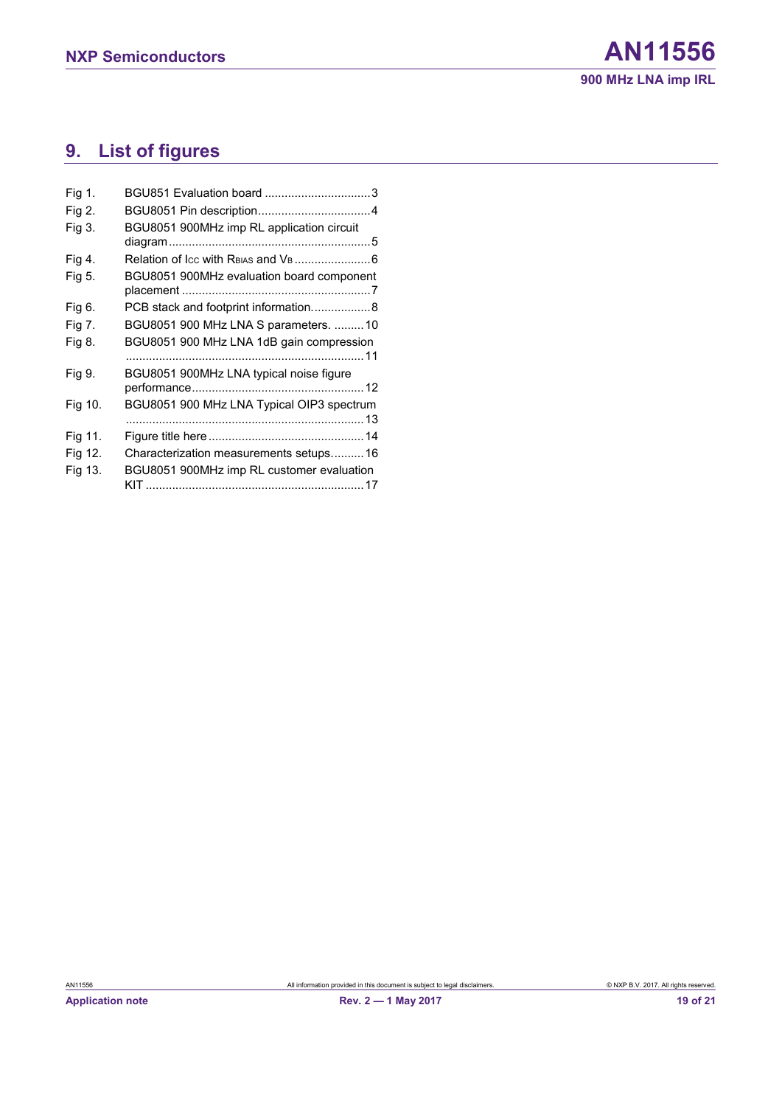# <span id="page-18-0"></span>**9. List of figures**

| Fig 1.  |                                           |
|---------|-------------------------------------------|
| Fig 2.  |                                           |
| Fig 3.  | BGU8051 900MHz imp RL application circuit |
| Fig 4.  |                                           |
| Fig 5.  | BGU8051 900MHz evaluation board component |
| Fig 6.  | PCB stack and footprint information8      |
| Fig 7.  | BGU8051 900 MHz LNA S parameters.  10     |
| Fig 8.  | BGU8051 900 MHz LNA 1dB gain compression  |
| Fig 9.  | BGU8051 900MHz LNA typical noise figure   |
| Fig 10. | BGU8051 900 MHz LNA Typical OIP3 spectrum |
| Fig 11. |                                           |
| Fig 12. | Characterization measurements setups16    |
| Fig 13. | BGU8051 900MHz imp RL customer evaluation |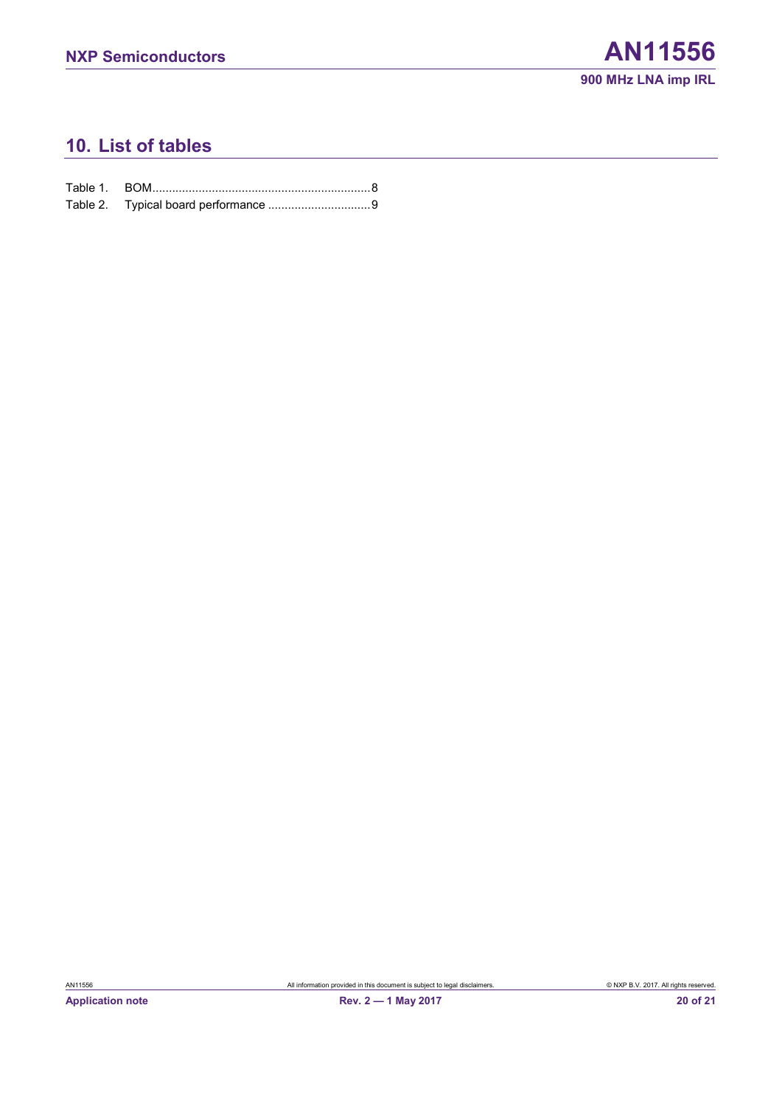# <span id="page-19-0"></span>**10. List of tables**